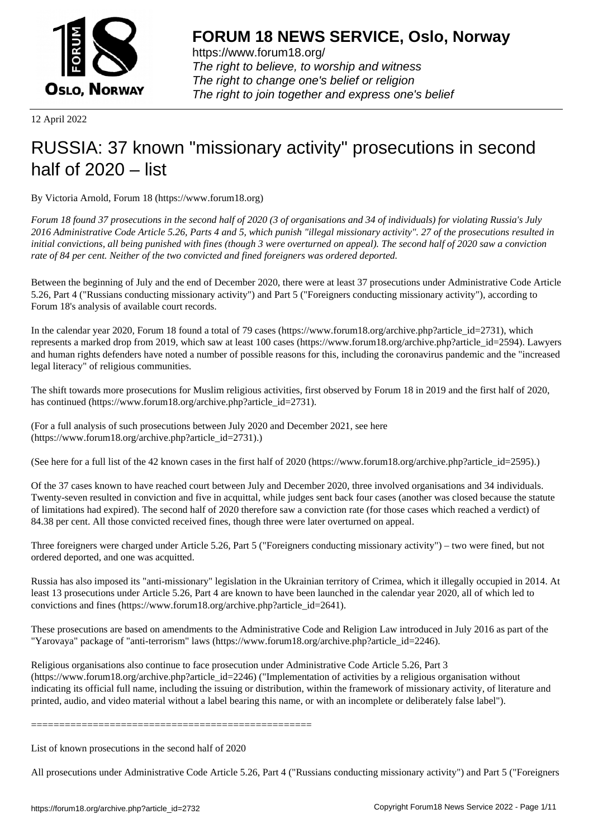

https://www.forum18.org/ The right to believe, to worship and witness The right to change one's belief or religion [The right to join together a](https://www.forum18.org/)nd express one's belief

12 April 2022

## [RUSSIA: 37 kno](https://www.forum18.org)wn "missionary activity" prosecutions in second half of 2020 – list

By Victoria Arnold, Forum 18 (https://www.forum18.org)

*Forum 18 found 37 prosecutions in the second half of 2020 (3 of organisations and 34 of individuals) for violating Russia's July 2016 Administrative Code Article 5.26, Parts 4 and 5, which punish "illegal missionary activity". 27 of the prosecutions resulted in initial convictions, all being punished with fines (though 3 were overturned on appeal). The second half of 2020 saw a conviction rate of 84 per cent. Neither of the two convicted and fined foreigners was ordered deported.*

Between the beginning of July and the end of December 2020, there were at least 37 prosecutions under Administrative Code Article 5.26, Part 4 ("Russians conducting missionary activity") and Part 5 ("Foreigners conducting missionary activity"), according to Forum 18's analysis of available court records.

In the calendar year 2020, Forum 18 found a total of 79 cases (https://www.forum18.org/archive.php?article\_id=2731), which represents a marked drop from 2019, which saw at least 100 cases (https://www.forum18.org/archive.php?article\_id=2594). Lawyers and human rights defenders have noted a number of possible reasons for this, including the coronavirus pandemic and the "increased legal literacy" of religious communities.

The shift towards more prosecutions for Muslim religious activities, first observed by Forum 18 in 2019 and the first half of 2020, has continued (https://www.forum18.org/archive.php?article\_id=2731).

(For a full analysis of such prosecutions between July 2020 and December 2021, see here (https://www.forum18.org/archive.php?article\_id=2731).)

(See here for a full list of the 42 known cases in the first half of 2020 (https://www.forum18.org/archive.php?article\_id=2595).)

Of the 37 cases known to have reached court between July and December 2020, three involved organisations and 34 individuals. Twenty-seven resulted in conviction and five in acquittal, while judges sent back four cases (another was closed because the statute of limitations had expired). The second half of 2020 therefore saw a conviction rate (for those cases which reached a verdict) of 84.38 per cent. All those convicted received fines, though three were later overturned on appeal.

Three foreigners were charged under Article 5.26, Part 5 ("Foreigners conducting missionary activity") – two were fined, but not ordered deported, and one was acquitted.

Russia has also imposed its "anti-missionary" legislation in the Ukrainian territory of Crimea, which it illegally occupied in 2014. At least 13 prosecutions under Article 5.26, Part 4 are known to have been launched in the calendar year 2020, all of which led to convictions and fines (https://www.forum18.org/archive.php?article\_id=2641).

These prosecutions are based on amendments to the Administrative Code and Religion Law introduced in July 2016 as part of the "Yarovaya" package of "anti-terrorism" laws (https://www.forum18.org/archive.php?article\_id=2246).

Religious organisations also continue to face prosecution under Administrative Code Article 5.26, Part 3 (https://www.forum18.org/archive.php?article\_id=2246) ("Implementation of activities by a religious organisation without indicating its official full name, including the issuing or distribution, within the framework of missionary activity, of literature and printed, audio, and video material without a label bearing this name, or with an incomplete or deliberately false label").

==================================================

List of known prosecutions in the second half of 2020

All prosecutions under Administrative Code Article 5.26, Part 4 ("Russians conducting missionary activity") and Part 5 ("Foreigners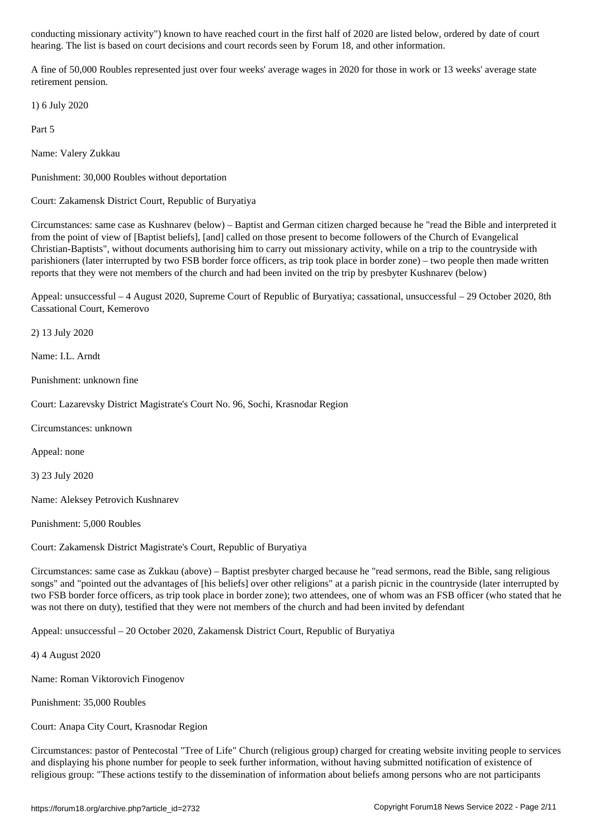hearing. The list is based on court decisions and court records seen by Forum 18, and other information.

A fine of 50,000 Roubles represented just over four weeks' average wages in 2020 for those in work or 13 weeks' average state retirement pension.

1) 6 July 2020

Part 5

Name: Valery Zukkau

Punishment: 30,000 Roubles without deportation

Court: Zakamensk District Court, Republic of Buryatiya

Circumstances: same case as Kushnarev (below) – Baptist and German citizen charged because he "read the Bible and interpreted it from the point of view of [Baptist beliefs], [and] called on those present to become followers of the Church of Evangelical Christian-Baptists", without documents authorising him to carry out missionary activity, while on a trip to the countryside with parishioners (later interrupted by two FSB border force officers, as trip took place in border zone) – two people then made written reports that they were not members of the church and had been invited on the trip by presbyter Kushnarev (below)

Appeal: unsuccessful – 4 August 2020, Supreme Court of Republic of Buryatiya; cassational, unsuccessful – 29 October 2020, 8th Cassational Court, Kemerovo

2) 13 July 2020

Name: I.L. Arndt

Punishment: unknown fine

Court: Lazarevsky District Magistrate's Court No. 96, Sochi, Krasnodar Region

Circumstances: unknown

Appeal: none

3) 23 July 2020

Name: Aleksey Petrovich Kushnarev

Punishment: 5,000 Roubles

Court: Zakamensk District Magistrate's Court, Republic of Buryatiya

Circumstances: same case as Zukkau (above) – Baptist presbyter charged because he "read sermons, read the Bible, sang religious songs" and "pointed out the advantages of [his beliefs] over other religions" at a parish picnic in the countryside (later interrupted by two FSB border force officers, as trip took place in border zone); two attendees, one of whom was an FSB officer (who stated that he was not there on duty), testified that they were not members of the church and had been invited by defendant

Appeal: unsuccessful – 20 October 2020, Zakamensk District Court, Republic of Buryatiya

4) 4 August 2020

Name: Roman Viktorovich Finogenov

Punishment: 35,000 Roubles

Court: Anapa City Court, Krasnodar Region

Circumstances: pastor of Pentecostal "Tree of Life" Church (religious group) charged for creating website inviting people to services and displaying his phone number for people to seek further information, without having submitted notification of existence of religious group: "These actions testify to the dissemination of information about beliefs among persons who are not participants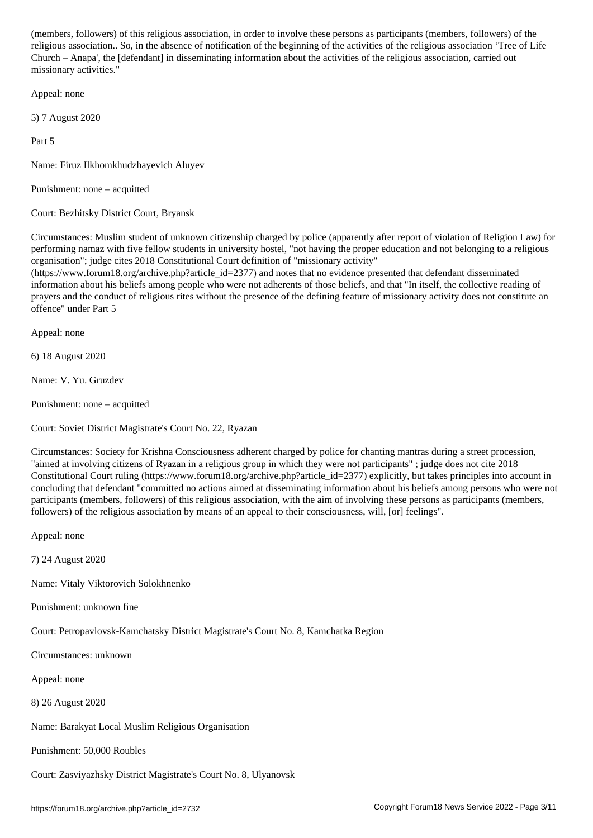religious association.. So, in the absence of notification of the beginning of the activities of the religious association 'Tree of Life Church – Anapa', the [defendant] in disseminating information about the activities of the religious association, carried out missionary activities."

Appeal: none

5) 7 August 2020

Part 5

Name: Firuz Ilkhomkhudzhayevich Aluyev

Punishment: none – acquitted

Court: Bezhitsky District Court, Bryansk

Circumstances: Muslim student of unknown citizenship charged by police (apparently after report of violation of Religion Law) for performing namaz with five fellow students in university hostel, "not having the proper education and not belonging to a religious organisation"; judge cites 2018 Constitutional Court definition of "missionary activity"

 $(\text{https://www.forum18.org/archive.php?article id=2377})$  and notes that no evidence presented that defendant disseminated information about his beliefs among people who were not adherents of those beliefs, and that "In itself, the collective reading of prayers and the conduct of religious rites without the presence of the defining feature of missionary activity does not constitute an offence" under Part 5

Appeal: none

6) 18 August 2020

Name: V. Yu. Gruzdev

Punishment: none – acquitted

Court: Soviet District Magistrate's Court No. 22, Ryazan

Circumstances: Society for Krishna Consciousness adherent charged by police for chanting mantras during a street procession, "aimed at involving citizens of Ryazan in a religious group in which they were not participants" ; judge does not cite 2018 Constitutional Court ruling (https://www.forum18.org/archive.php?article\_id=2377) explicitly, but takes principles into account in concluding that defendant "committed no actions aimed at disseminating information about his beliefs among persons who were not participants (members, followers) of this religious association, with the aim of involving these persons as participants (members, followers) of the religious association by means of an appeal to their consciousness, will, [or] feelings".

Appeal: none

7) 24 August 2020

Name: Vitaly Viktorovich Solokhnenko

Punishment: unknown fine

Court: Petropavlovsk-Kamchatsky District Magistrate's Court No. 8, Kamchatka Region

Circumstances: unknown

Appeal: none

8) 26 August 2020

Name: Barakyat Local Muslim Religious Organisation

Punishment: 50,000 Roubles

Court: Zasviyazhsky District Magistrate's Court No. 8, Ulyanovsk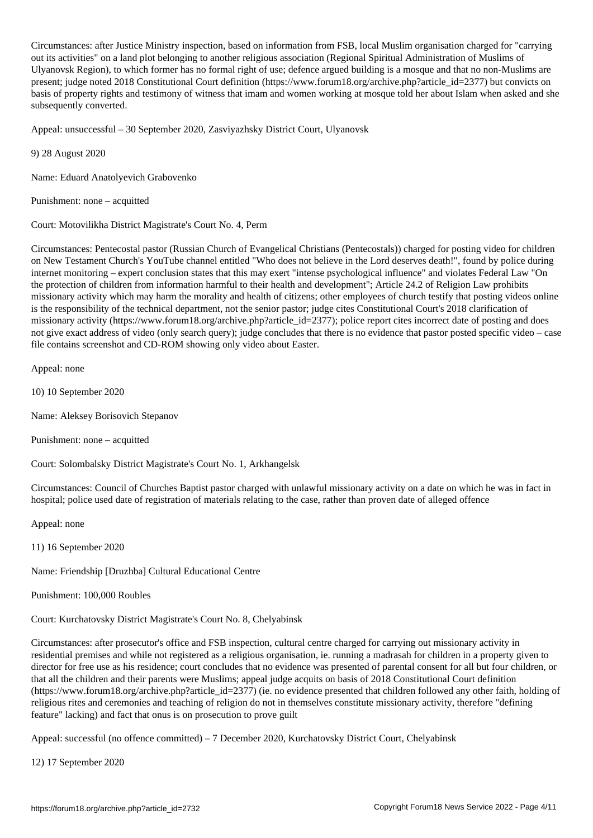Circumstances: after Justice Ministry inspection, based on information from FSB, local Muslim organisation charged for "carrying out its activities" on a land plot belonging to another religious association (Regional Spiritual Administration of Muslims of Ulyanovsk Region), to which former has no formal right of use; defence argued building is a mosque and that no non-Muslims are present; judge noted 2018 Constitutional Court definition (https://www.forum18.org/archive.php?article\_id=2377) but convicts on basis of property rights and testimony of witness that imam and women working at mosque told her about Islam when asked and she subsequently converted.

Appeal: unsuccessful – 30 September 2020, Zasviyazhsky District Court, Ulyanovsk

9) 28 August 2020

Name: Eduard Anatolyevich Grabovenko

Punishment: none – acquitted

Court: Motovilikha District Magistrate's Court No. 4, Perm

Circumstances: Pentecostal pastor (Russian Church of Evangelical Christians (Pentecostals)) charged for posting video for children on New Testament Church's YouTube channel entitled "Who does not believe in the Lord deserves death!", found by police during internet monitoring – expert conclusion states that this may exert "intense psychological influence" and violates Federal Law "On the protection of children from information harmful to their health and development"; Article 24.2 of Religion Law prohibits missionary activity which may harm the morality and health of citizens; other employees of church testify that posting videos online is the responsibility of the technical department, not the senior pastor; judge cites Constitutional Court's 2018 clarification of missionary activity (https://www.forum18.org/archive.php?article\_id=2377); police report cites incorrect date of posting and does not give exact address of video (only search query); judge concludes that there is no evidence that pastor posted specific video – case file contains screenshot and CD-ROM showing only video about Easter.

Appeal: none

10) 10 September 2020

Name: Aleksey Borisovich Stepanov

Punishment: none – acquitted

Court: Solombalsky District Magistrate's Court No. 1, Arkhangelsk

Circumstances: Council of Churches Baptist pastor charged with unlawful missionary activity on a date on which he was in fact in hospital; police used date of registration of materials relating to the case, rather than proven date of alleged offence

Appeal: none

11) 16 September 2020

Name: Friendship [Druzhba] Cultural Educational Centre

Punishment: 100,000 Roubles

Court: Kurchatovsky District Magistrate's Court No. 8, Chelyabinsk

Circumstances: after prosecutor's office and FSB inspection, cultural centre charged for carrying out missionary activity in residential premises and while not registered as a religious organisation, ie. running a madrasah for children in a property given to director for free use as his residence; court concludes that no evidence was presented of parental consent for all but four children, or that all the children and their parents were Muslims; appeal judge acquits on basis of 2018 Constitutional Court definition (https://www.forum18.org/archive.php?article\_id=2377) (ie. no evidence presented that children followed any other faith, holding of religious rites and ceremonies and teaching of religion do not in themselves constitute missionary activity, therefore "defining feature" lacking) and fact that onus is on prosecution to prove guilt

Appeal: successful (no offence committed) – 7 December 2020, Kurchatovsky District Court, Chelyabinsk

12) 17 September 2020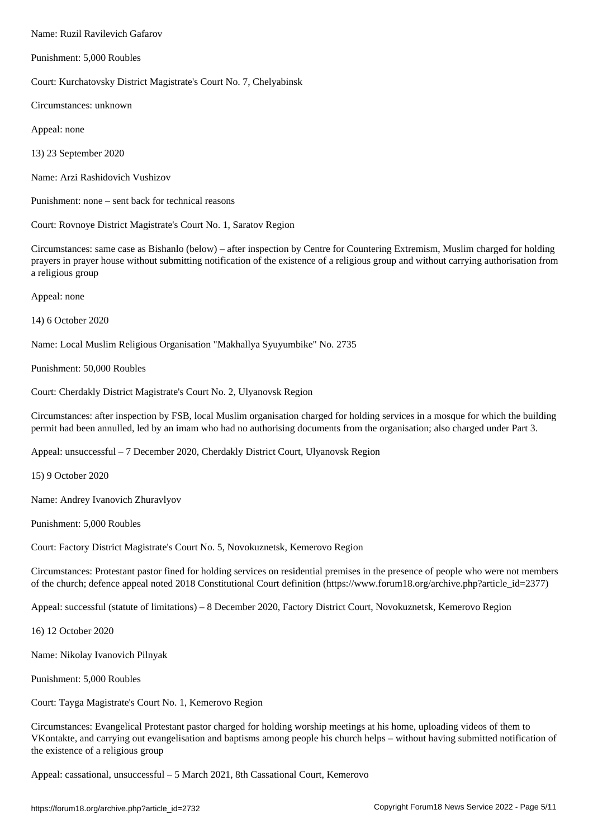Punishment: 5,000 Roubles

Court: Kurchatovsky District Magistrate's Court No. 7, Chelyabinsk

Circumstances: unknown

Appeal: none

13) 23 September 2020

Name: Arzi Rashidovich Vushizov

Punishment: none – sent back for technical reasons

Court: Rovnoye District Magistrate's Court No. 1, Saratov Region

Circumstances: same case as Bishanlo (below) – after inspection by Centre for Countering Extremism, Muslim charged for holding prayers in prayer house without submitting notification of the existence of a religious group and without carrying authorisation from a religious group

Appeal: none

14) 6 October 2020

Name: Local Muslim Religious Organisation "Makhallya Syuyumbike" No. 2735

Punishment: 50,000 Roubles

Court: Cherdakly District Magistrate's Court No. 2, Ulyanovsk Region

Circumstances: after inspection by FSB, local Muslim organisation charged for holding services in a mosque for which the building permit had been annulled, led by an imam who had no authorising documents from the organisation; also charged under Part 3.

Appeal: unsuccessful – 7 December 2020, Cherdakly District Court, Ulyanovsk Region

15) 9 October 2020

Name: Andrey Ivanovich Zhuravlyov

Punishment: 5,000 Roubles

Court: Factory District Magistrate's Court No. 5, Novokuznetsk, Kemerovo Region

Circumstances: Protestant pastor fined for holding services on residential premises in the presence of people who were not members of the church; defence appeal noted 2018 Constitutional Court definition (https://www.forum18.org/archive.php?article\_id=2377)

Appeal: successful (statute of limitations) – 8 December 2020, Factory District Court, Novokuznetsk, Kemerovo Region

16) 12 October 2020

Name: Nikolay Ivanovich Pilnyak

Punishment: 5,000 Roubles

Court: Tayga Magistrate's Court No. 1, Kemerovo Region

Circumstances: Evangelical Protestant pastor charged for holding worship meetings at his home, uploading videos of them to VKontakte, and carrying out evangelisation and baptisms among people his church helps – without having submitted notification of the existence of a religious group

Appeal: cassational, unsuccessful – 5 March 2021, 8th Cassational Court, Kemerovo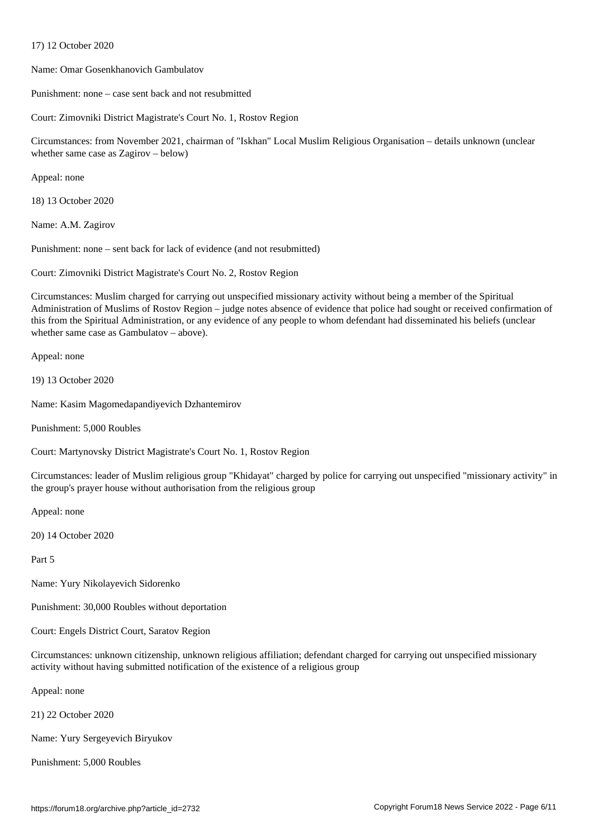Name: Omar Gosenkhanovich Gambulatov

Punishment: none – case sent back and not resubmitted

Court: Zimovniki District Magistrate's Court No. 1, Rostov Region

Circumstances: from November 2021, chairman of "Iskhan" Local Muslim Religious Organisation – details unknown (unclear whether same case as Zagirov – below)

Appeal: none

18) 13 October 2020

 $17$  October 2020  $\pm$ 

Name: A.M. Zagirov

Punishment: none – sent back for lack of evidence (and not resubmitted)

Court: Zimovniki District Magistrate's Court No. 2, Rostov Region

Circumstances: Muslim charged for carrying out unspecified missionary activity without being a member of the Spiritual Administration of Muslims of Rostov Region – judge notes absence of evidence that police had sought or received confirmation of this from the Spiritual Administration, or any evidence of any people to whom defendant had disseminated his beliefs (unclear whether same case as Gambulatov – above).

Appeal: none

19) 13 October 2020

Name: Kasim Magomedapandiyevich Dzhantemirov

Punishment: 5,000 Roubles

Court: Martynovsky District Magistrate's Court No. 1, Rostov Region

Circumstances: leader of Muslim religious group "Khidayat" charged by police for carrying out unspecified "missionary activity" in the group's prayer house without authorisation from the religious group

Appeal: none

20) 14 October 2020

Part 5

Name: Yury Nikolayevich Sidorenko

Punishment: 30,000 Roubles without deportation

Court: Engels District Court, Saratov Region

Circumstances: unknown citizenship, unknown religious affiliation; defendant charged for carrying out unspecified missionary activity without having submitted notification of the existence of a religious group

Appeal: none

21) 22 October 2020

Name: Yury Sergeyevich Biryukov

Punishment: 5,000 Roubles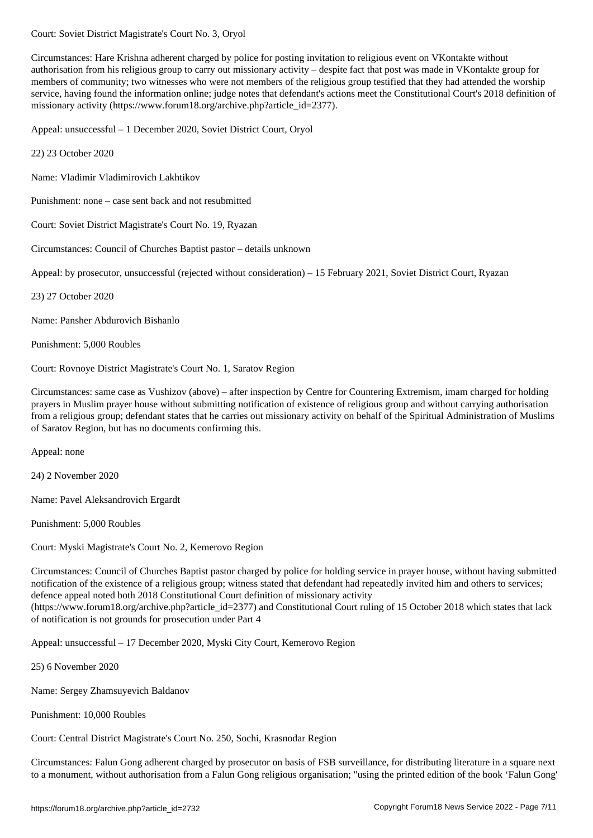Circumstances: Hare Krishna adherent charged by police for posting invitation to religious event on VKontakte without authorisation from his religious group to carry out missionary activity – despite fact that post was made in VKontakte group for members of community; two witnesses who were not members of the religious group testified that they had attended the worship service, having found the information online; judge notes that defendant's actions meet the Constitutional Court's 2018 definition of missionary activity (https://www.forum18.org/archive.php?article\_id=2377).

Appeal: unsuccessful – 1 December 2020, Soviet District Court, Oryol

22) 23 October 2020

Name: Vladimir Vladimirovich Lakhtikov

Punishment: none – case sent back and not resubmitted

Court: Soviet District Magistrate's Court No. 19, Ryazan

Circumstances: Council of Churches Baptist pastor – details unknown

Appeal: by prosecutor, unsuccessful (rejected without consideration) – 15 February 2021, Soviet District Court, Ryazan

23) 27 October 2020

Name: Pansher Abdurovich Bishanlo

Punishment: 5,000 Roubles

Court: Rovnoye District Magistrate's Court No. 1, Saratov Region

Circumstances: same case as Vushizov (above) – after inspection by Centre for Countering Extremism, imam charged for holding prayers in Muslim prayer house without submitting notification of existence of religious group and without carrying authorisation from a religious group; defendant states that he carries out missionary activity on behalf of the Spiritual Administration of Muslims of Saratov Region, but has no documents confirming this.

Appeal: none

24) 2 November 2020

Name: Pavel Aleksandrovich Ergardt

Punishment: 5,000 Roubles

Court: Myski Magistrate's Court No. 2, Kemerovo Region

Circumstances: Council of Churches Baptist pastor charged by police for holding service in prayer house, without having submitted notification of the existence of a religious group; witness stated that defendant had repeatedly invited him and others to services; defence appeal noted both 2018 Constitutional Court definition of missionary activity (https://www.forum18.org/archive.php?article\_id=2377) and Constitutional Court ruling of 15 October 2018 which states that lack of notification is not grounds for prosecution under Part 4

Appeal: unsuccessful – 17 December 2020, Myski City Court, Kemerovo Region

25) 6 November 2020

Name: Sergey Zhamsuyevich Baldanov

Punishment: 10,000 Roubles

Court: Central District Magistrate's Court No. 250, Sochi, Krasnodar Region

Circumstances: Falun Gong adherent charged by prosecutor on basis of FSB surveillance, for distributing literature in a square next to a monument, without authorisation from a Falun Gong religious organisation; "using the printed edition of the book 'Falun Gong'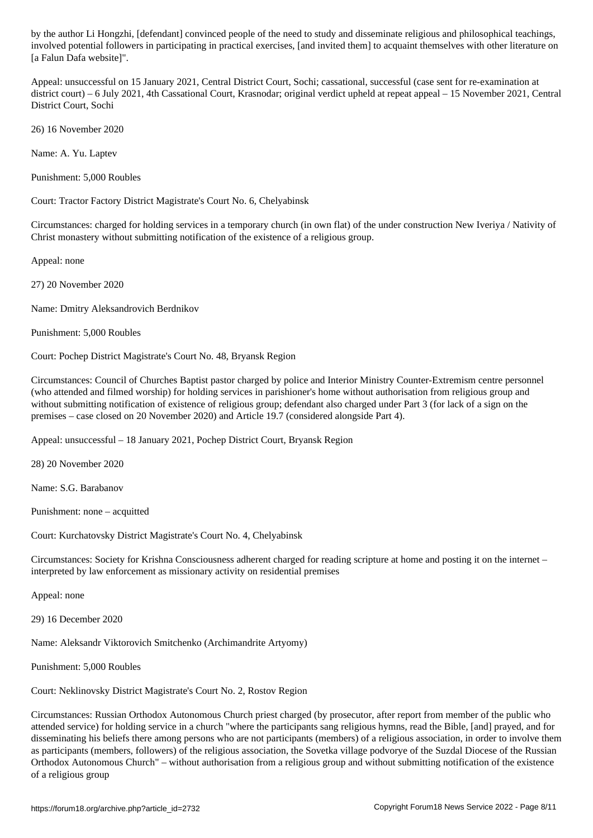involved potential followers in participating in practical exercises, [and invited them] to acquaint themselves with other literature on [a Falun Dafa website]".

Appeal: unsuccessful on 15 January 2021, Central District Court, Sochi; cassational, successful (case sent for re-examination at district court) – 6 July 2021, 4th Cassational Court, Krasnodar; original verdict upheld at repeat appeal – 15 November 2021, Central District Court, Sochi

26) 16 November 2020

Name: A. Yu. Laptev

Punishment: 5,000 Roubles

Court: Tractor Factory District Magistrate's Court No. 6, Chelyabinsk

Circumstances: charged for holding services in a temporary church (in own flat) of the under construction New Iveriya / Nativity of Christ monastery without submitting notification of the existence of a religious group.

Appeal: none

27) 20 November 2020

Name: Dmitry Aleksandrovich Berdnikov

Punishment: 5,000 Roubles

Court: Pochep District Magistrate's Court No. 48, Bryansk Region

Circumstances: Council of Churches Baptist pastor charged by police and Interior Ministry Counter-Extremism centre personnel (who attended and filmed worship) for holding services in parishioner's home without authorisation from religious group and without submitting notification of existence of religious group; defendant also charged under Part 3 (for lack of a sign on the premises – case closed on 20 November 2020) and Article 19.7 (considered alongside Part 4).

Appeal: unsuccessful – 18 January 2021, Pochep District Court, Bryansk Region

28) 20 November 2020

Name: S.G. Barabanov

Punishment: none – acquitted

Court: Kurchatovsky District Magistrate's Court No. 4, Chelyabinsk

Circumstances: Society for Krishna Consciousness adherent charged for reading scripture at home and posting it on the internet – interpreted by law enforcement as missionary activity on residential premises

Appeal: none

29) 16 December 2020

Name: Aleksandr Viktorovich Smitchenko (Archimandrite Artyomy)

Punishment: 5,000 Roubles

Court: Neklinovsky District Magistrate's Court No. 2, Rostov Region

Circumstances: Russian Orthodox Autonomous Church priest charged (by prosecutor, after report from member of the public who attended service) for holding service in a church "where the participants sang religious hymns, read the Bible, [and] prayed, and for disseminating his beliefs there among persons who are not participants (members) of a religious association, in order to involve them as participants (members, followers) of the religious association, the Sovetka village podvorye of the Suzdal Diocese of the Russian Orthodox Autonomous Church" – without authorisation from a religious group and without submitting notification of the existence of a religious group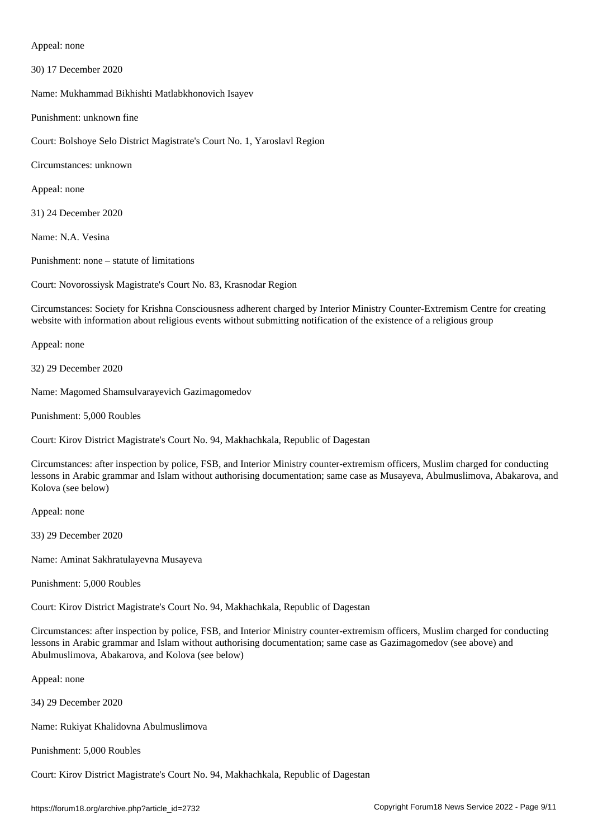Appeal: none

30) 17 December 2020

Name: Mukhammad Bikhishti Matlabkhonovich Isayev

Punishment: unknown fine

Court: Bolshoye Selo District Magistrate's Court No. 1, Yaroslavl Region

Circumstances: unknown

Appeal: none

31) 24 December 2020

Name: N.A. Vesina

Punishment: none – statute of limitations

Court: Novorossiysk Magistrate's Court No. 83, Krasnodar Region

Circumstances: Society for Krishna Consciousness adherent charged by Interior Ministry Counter-Extremism Centre for creating website with information about religious events without submitting notification of the existence of a religious group

Appeal: none

32) 29 December 2020

Name: Magomed Shamsulvarayevich Gazimagomedov

Punishment: 5,000 Roubles

Court: Kirov District Magistrate's Court No. 94, Makhachkala, Republic of Dagestan

Circumstances: after inspection by police, FSB, and Interior Ministry counter-extremism officers, Muslim charged for conducting lessons in Arabic grammar and Islam without authorising documentation; same case as Musayeva, Abulmuslimova, Abakarova, and Kolova (see below)

Appeal: none

33) 29 December 2020

Name: Aminat Sakhratulayevna Musayeva

Punishment: 5,000 Roubles

Court: Kirov District Magistrate's Court No. 94, Makhachkala, Republic of Dagestan

Circumstances: after inspection by police, FSB, and Interior Ministry counter-extremism officers, Muslim charged for conducting lessons in Arabic grammar and Islam without authorising documentation; same case as Gazimagomedov (see above) and Abulmuslimova, Abakarova, and Kolova (see below)

Appeal: none

34) 29 December 2020

Name: Rukiyat Khalidovna Abulmuslimova

Punishment: 5,000 Roubles

Court: Kirov District Magistrate's Court No. 94, Makhachkala, Republic of Dagestan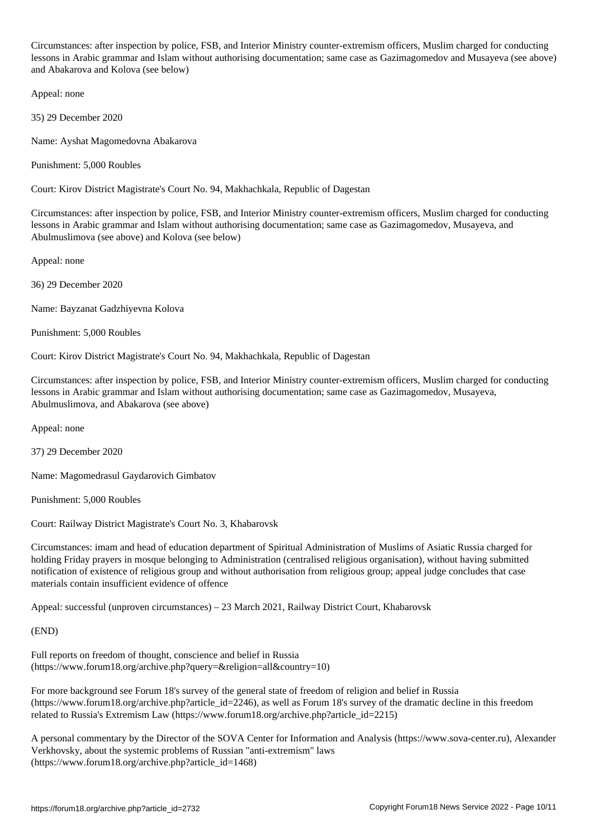Circumstances: after inspection by police, FSB, and Interior Ministry counter-extremism officers, Muslim charged for conducting lessons in Arabic grammar and Islam without authorising documentation; same case as Gazimagomedov and Musayeva (see above) and Abakarova and Kolova (see below)

Appeal: none

35) 29 December 2020

Name: Ayshat Magomedovna Abakarova

Punishment: 5,000 Roubles

Court: Kirov District Magistrate's Court No. 94, Makhachkala, Republic of Dagestan

Circumstances: after inspection by police, FSB, and Interior Ministry counter-extremism officers, Muslim charged for conducting lessons in Arabic grammar and Islam without authorising documentation; same case as Gazimagomedov, Musayeva, and Abulmuslimova (see above) and Kolova (see below)

Appeal: none

36) 29 December 2020

Name: Bayzanat Gadzhiyevna Kolova

Punishment: 5,000 Roubles

Court: Kirov District Magistrate's Court No. 94, Makhachkala, Republic of Dagestan

Circumstances: after inspection by police, FSB, and Interior Ministry counter-extremism officers, Muslim charged for conducting lessons in Arabic grammar and Islam without authorising documentation; same case as Gazimagomedov, Musayeva, Abulmuslimova, and Abakarova (see above)

Appeal: none

37) 29 December 2020

Name: Magomedrasul Gaydarovich Gimbatov

Punishment: 5,000 Roubles

Court: Railway District Magistrate's Court No. 3, Khabarovsk

Circumstances: imam and head of education department of Spiritual Administration of Muslims of Asiatic Russia charged for holding Friday prayers in mosque belonging to Administration (centralised religious organisation), without having submitted notification of existence of religious group and without authorisation from religious group; appeal judge concludes that case materials contain insufficient evidence of offence

Appeal: successful (unproven circumstances) – 23 March 2021, Railway District Court, Khabarovsk

(END)

Full reports on freedom of thought, conscience and belief in Russia (https://www.forum18.org/archive.php?query=&religion=all&country=10)

For more background see Forum 18's survey of the general state of freedom of religion and belief in Russia (https://www.forum18.org/archive.php?article\_id=2246), as well as Forum 18's survey of the dramatic decline in this freedom related to Russia's Extremism Law (https://www.forum18.org/archive.php?article\_id=2215)

A personal commentary by the Director of the SOVA Center for Information and Analysis (https://www.sova-center.ru), Alexander Verkhovsky, about the systemic problems of Russian "anti-extremism" laws (https://www.forum18.org/archive.php?article\_id=1468)